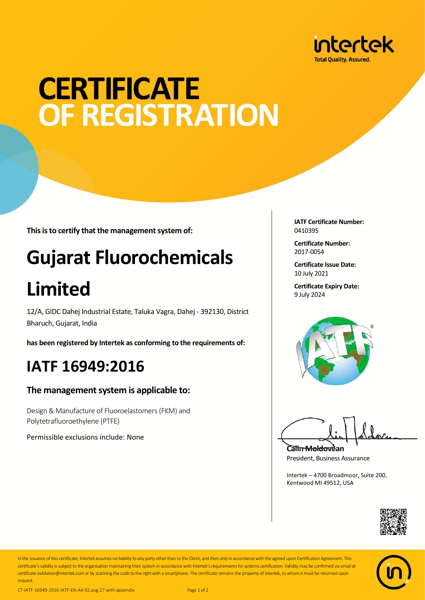

# **CERTIFICATE** OF REGISTRATION

**This is to certify that the management system of:**

## **Gujarat Fluorochemicals**

## **Limited**

12/A, GIDC Dahej Industrial Estate, Taluka Vagra, Dahej - 392130, District Bharuch, Gujarat, India

**has been registered by Intertek as conforming to the requirements of:**

### **IATF 16949:2016**

#### **The management system is applicable to:**

Design & Manufacture of Fluoroelastomers(FKM) and Polytetrafluoroethylene (PTFE)

Permissible exclusions include: None

**IATF Certificate Number:** 0410395

**Certificate Number:** 2017-0054

**Certificate Issue Date:** 10 July 2021

**Certificate Expiry Date:** 9 July 2024



**Calin Moldovean** President, Business Assurance

Intertek – 4700 Broadmoor, Suite 200, Kentwood MI 49512, USA





In the issuance of this certificate, Intertek assumes no liability to any party other than to the Client, and then only in accordance with the agreed upon Certification Agreement. This certificate's validity is subject to the organisation maintaining their system in accordance with Intertek's requirements for systems certification. Validity may be confirmed via email at certificate.validation@intertek.com or by scanning the code to the right with a smartphone. The certificate remains the property of Intertek, to whom it must be returned upon request.